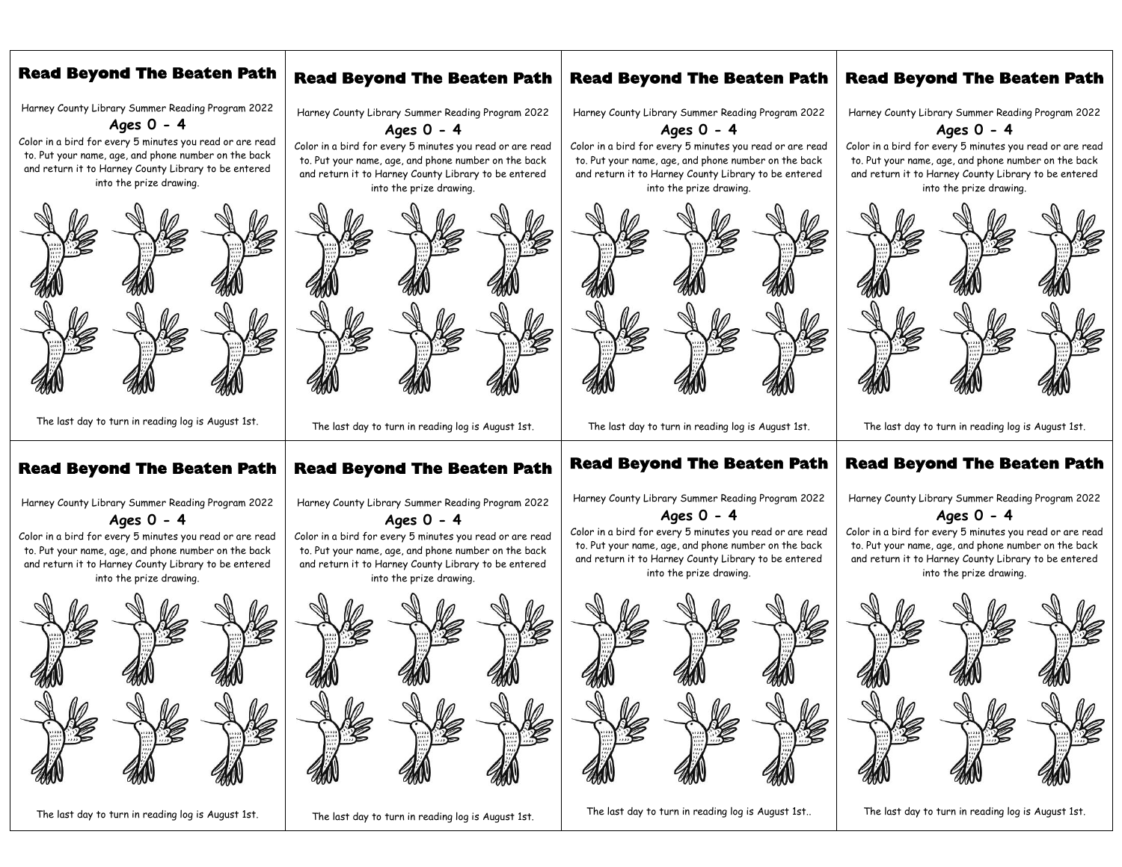## **Read Beyond The Beaten Path**

Harney County Library Summer Reading Program 2022

**Ages 0 - 4**

Color in a bird for every 5 minutes you read or are read to. Put your name, age, and phone number on the back and return it to Harney County Library to be entered into the prize drawing.



The last day to turn in reading log is August 1st.

### **Read Beyond The Beaten Path**

Harney County Library Summer Reading Program 2022

**Ages 0 - 4**

Color in a bird for every 5 minutes you read or are read to. Put your name, age, and phone number on the back and return it to Harney County Library to be entered into the prize drawing.



The last day to turn in reading log is August 1st.

# **Read Beyond The Beaten Path**

Harney County Library Summer Reading Program 2022 **Ages 0 - 4**

Color in a bird for every 5 minutes you read or are read to. Put your name, age, and phone number on the back and return it to Harney County Library to be entered into the prize drawing.



The last day to turn in reading log is August 1st.

# **Read Beyond The Beaten Path**

Harney County Library Summer Reading Program 2022

**Ages 0 - 4**

Color in a bird for every 5 minutes you read or are read to. Put your name, age, and phone number on the back and return it to Harney County Library to be entered into the prize drawing.



The last day to turn in reading log is August 1st.

## **Read Beyond The Beaten Path**

Harney County Library Summer Reading Program 2022 **Ages 0 - 4**

Color in a bird for every 5 minutes you read or are read to. Put your name, age, and phone number on the back and return it to Harney County Library to be entered into the prize drawing.



The last day to turn in reading log is August 1st.

### **Read Beyond The Beaten Path**

Harney County Library Summer Reading Program 2022

#### **Ages 0 - 4**

Color in a bird for every 5 minutes you read or are read to. Put your name, age, and phone number on the back and return it to Harney County Library to be entered into the prize drawing.



The last day to turn in reading log is August 1st..

### **Read Beyond The Beaten Path**

Harney County Library Summer Reading Program 2022

**Ages 0 - 4**

Color in a bird for every 5 minutes you read or are read to. Put your name, age, and phone number on the back and return it to Harney County Library to be entered into the prize drawing.



The last day to turn in reading log is August 1st.

### **Read Beyond The Beaten Path**

Harney County Library Summer Reading Program 2022

#### **Ages 0 - 4**

Color in a bird for every 5 minutes you read or are read to. Put your name, age, and phone number on the back and return it to Harney County Library to be entered into the prize drawing.



The last day to turn in reading log is August 1st.